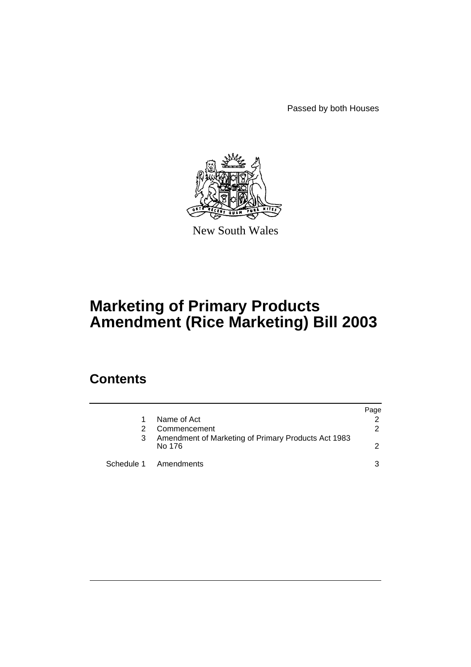Passed by both Houses



New South Wales

# **Marketing of Primary Products Amendment (Rice Marketing) Bill 2003**

## **Contents**

|   |                                                               | Page          |
|---|---------------------------------------------------------------|---------------|
| 1 | Name of Act                                                   | 2             |
| 2 | Commencement                                                  | $\mathcal{P}$ |
| 3 | Amendment of Marketing of Primary Products Act 1983<br>No 176 | $\mathcal{P}$ |
|   | Schedule 1 Amendments                                         | 3             |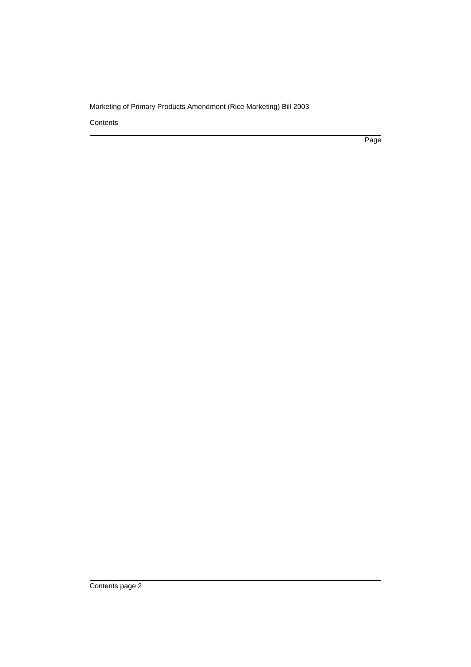### Marketing of Primary Products Amendment (Rice Marketing) Bill 2003

**Contents** 

Page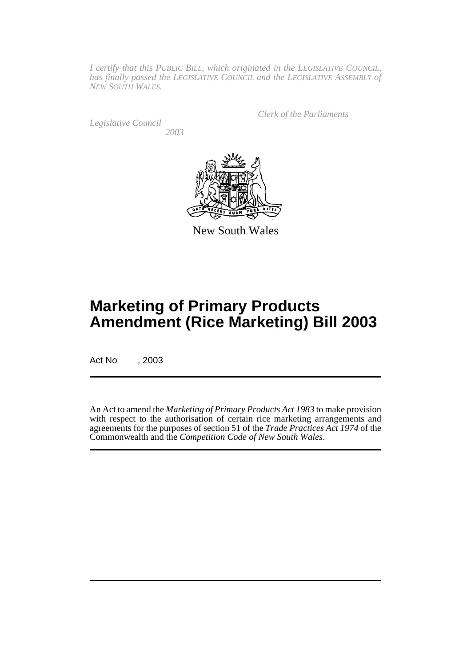*I certify that this PUBLIC BILL, which originated in the LEGISLATIVE COUNCIL, has finally passed the LEGISLATIVE COUNCIL and the LEGISLATIVE ASSEMBLY of NEW SOUTH WALES.*

*Legislative Council 2003* *Clerk of the Parliaments*



New South Wales

# **Marketing of Primary Products Amendment (Rice Marketing) Bill 2003**

Act No , 2003

An Act to amend the *Marketing of Primary Products Act 1983* to make provision with respect to the authorisation of certain rice marketing arrangements and agreements for the purposes of section 51 of the *Trade Practices Act 1974* of the Commonwealth and the *Competition Code of New South Wales*.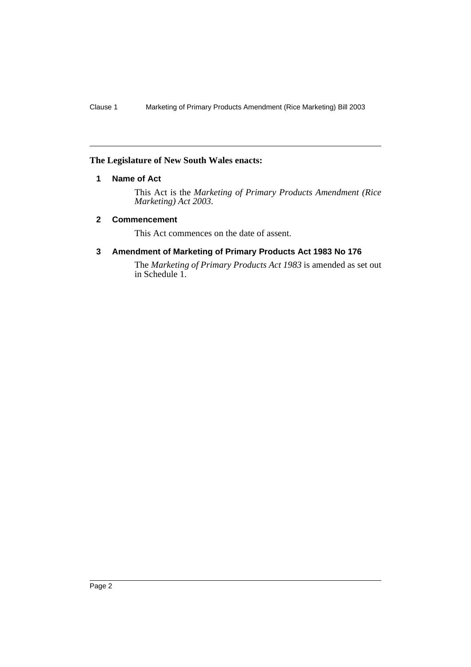#### **The Legislature of New South Wales enacts:**

### **1 Name of Act**

This Act is the *Marketing of Primary Products Amendment (Rice Marketing) Act 2003*.

#### **2 Commencement**

This Act commences on the date of assent.

#### **3 Amendment of Marketing of Primary Products Act 1983 No 176**

The *Marketing of Primary Products Act 1983* is amended as set out in Schedule 1.